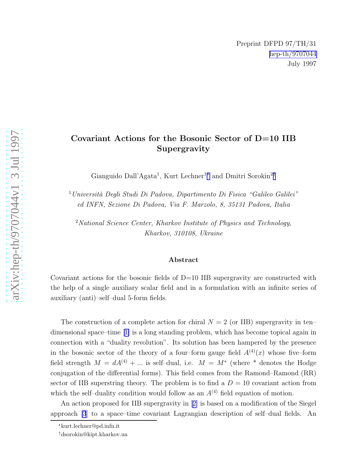## Covariant Actions for the Bosonic Sector of D=10 IIB Supergravity

Gianguido Dall'Agata<sup>1</sup>, Kurt Lechner<sup>1\*</sup> and Dmitri Sorokin<sup>2†</sup>

 $1$ Università Degli Studi Di Padova, Dipartimento Di Fisica "Galileo Galilei" ed INFN, Sezione Di Padova, Via F. Marzolo, 8, 35131 Padova, Italia

<sup>2</sup>National Science Center, Kharkov Institute of Physics and Technology, Kharkov, 310108, Ukraine

## Abstract

Covariant actions for the bosonic fields of  $D=10$  IIB supergravity are constructed with the help of a single auxiliary scalar field and in a formulation with an infinite series of auxiliary (anti)–self–dual 5-form fields.

The construction of a complete action for chiral  $N = 2$  (or IIB) supergravity in ten– dimensional space–time[[1\]](#page-4-0) is a long standing problem, which has become topical again in connection with a "duality revolution". Its solution has been hampered by the presence in the bosonic sector of the theory of a four-form gauge field  $A^{(4)}(x)$  whose five-form field strength  $M = dA^{(4)} + ...$  is self-dual, i.e.  $M = M^*$  (where \* denotes the Hodge conjugation of the differential forms). This field comes from the Ramond–Ramond (RR) sector of IIB superstring theory. The problem is to find a  $D = 10$  covariant action from which the self-duality condition would follow as an  $A^{(4)}$  field equation of motion.

An action proposed for IIB supergravity in[[2\]](#page-4-0) is based on a modification of the Siegel approach [\[3](#page-4-0)] to a space–time covariant Lagrangian description of self–dual fields. An

<sup>∗</sup>kurt.lechner@pd.infn.it

<sup>†</sup>dsorokin@kipt.kharkov.ua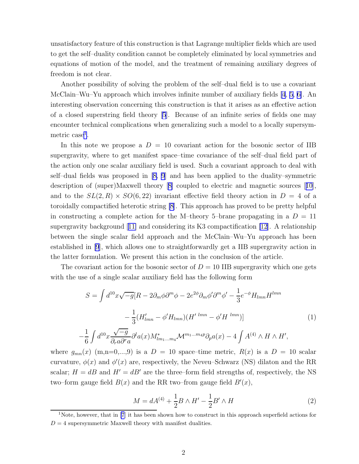<span id="page-1-0"></span>unsatisfactory feature of this construction is that Lagrange multiplier fields which are used to get the self–duality condition cannot be completely eliminated by local symmetries and equations of motion of the model, and the treatment of remaining auxiliary degrees of freedom is not clear.

Another possibility of solving the problem of the self–dual field is to use a covariant McClain–Wu–Yu approach which involves infinite number of auxiliary fields [\[4](#page-4-0), [5, 6\]](#page-4-0). An interesting observation concerning this construction is that it arises as an effective action of a closed superstring field theory [\[5](#page-4-0)]. Because of an infinite series of fields one may encounter technical complications when generalizing such a model to a locally supersymmetric case<sup>1</sup>.

In this note we propose a  $D = 10$  covariant action for the bosonic sector of IIB supergravity, where to get manifest space–time covariance of the self–dual field part of the action only one scalar auxiliary field is used. Such a covariant approach to deal with self–dual fields was proposed in [\[8, 9](#page-4-0)] and has been applied to the duality–symmetric description of (super)Maxwell theory[[8\]](#page-4-0) coupled to electric and magnetic sources[[10](#page-4-0)], and to the  $SL(2, R) \times SO(6, 22)$  invariant effective field theory action in  $D = 4$  of a toroidally compactified heterotic string [\[8](#page-4-0)]. This approach has proved to be pretty helpful in constructing a complete action for the M–theory 5–brane propagating in a  $D = 11$ supergravitybackground  $[11]$  $[11]$  and considering its K3 compactification  $[12]$ . A relationship between the single scalar field approach and the McClain–Wu–Yu approach has been established in [\[9](#page-4-0)], which allows one to straightforwardly get a IIB supergravity action in the latter formulation. We present this action in the conclusion of the article.

The covariant action for the bosonic sector of  $D = 10$  IIB supergravity which one gets with the use of a single scalar auxiliary field has the following form

$$
S = \int d^{10}x \sqrt{-g} [R - 2\partial_m \phi \partial^m \phi - 2e^{2\phi} \partial_m \phi' \partial^m \phi' - \frac{1}{3} e^{-\phi} H_{lmn} H^{lmn}
$$

$$
- \frac{1}{3} (H'_{lmn} - \phi' H_{lmn}) (H'^{lmn} - \phi' H^{lmn})]
$$
(1)
$$
- \frac{1}{6} \int d^{10}x \frac{\sqrt{-g}}{\partial_r a \partial^r a} \partial^l a(x) M^*_{lm_1 \dots m_4} \mathcal{M}^{m_1 \dots m_4 p} \partial_p a(x) - 4 \int A^{(4)} \wedge H \wedge H',
$$

where  $g_{mn}(x)$  (m,n=0,...,9) is a  $D = 10$  space–time metric,  $R(x)$  is a  $D = 10$  scalar curvature,  $\phi(x)$  and  $\phi'(x)$  are, respectively, the Neveu-Schwarz (NS) dilaton and the RR scalar;  $H = dB$  and  $H' = dB'$  are the three–form field strengths of, respectively, the NS two–form gauge field  $B(x)$  and the RR two–from gauge field  $B'(x)$ ,

$$
M = dA^{(4)} + \frac{1}{2}B \wedge H' - \frac{1}{2}B' \wedge H \tag{2}
$$

<sup>1</sup>Note, however, that in [\[7](#page-4-0)] it has been shown how to construct in this approach superfield actions for  $D = 4$  supersymmetric Maxwell theory with manifest dualities.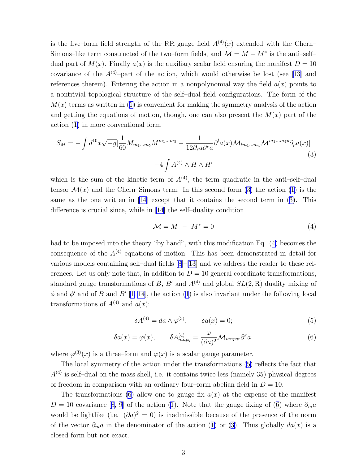<span id="page-2-0"></span>is the five–form field strength of the RR gauge field  $A^{(4)}(x)$  extended with the Chern– Simons–like term constructed of the two–form fields, and  $\mathcal{M} = M - M^*$  is the anti–self– dual part of  $M(x)$ . Finally  $a(x)$  is the auxiliary scalar field ensuring the manifest  $D = 10$ covarianceof the  $A^{(4)}$ –part of the action, which would otherwise be lost (see [[13\]](#page-4-0) and references therein). Entering the action in a nonpolynomial way the field  $a(x)$  points to a nontrivial topological structure of the self–dual field configurations. The form of the  $M(x)$ terms as written in ([1\)](#page-1-0) is convenient for making the symmetry analysis of the action and getting the equations of motion, though, one can also present the  $M(x)$  part of the action([1\)](#page-1-0) in more conventional form

$$
S_M = -\int d^{10}x \sqrt{-g} \left[\frac{1}{60} M_{m_1...m_5} M^{m_1...m_5} - \frac{1}{12 \partial_r a \partial^r a} \partial^l a(x) \mathcal{M}_{lm_1...m_4} \mathcal{M}^{m_1...m_4 p} \partial_p a(x)\right]
$$
  
-4 $\int A^{(4)} \wedge H \wedge H'$  (3)

which is the sum of the kinetic term of  $A^{(4)}$ , the term quadratic in the anti-self-dual tensor  $\mathcal{M}(x)$  and the Chern–Simons term. In this second form (3) the action [\(1](#page-1-0)) is the same as the one written in[[14\]](#page-4-0) except that it contains the second term in (3). This difference is crucial since, while in [\[14](#page-4-0)] the self–duality condition

$$
\mathcal{M} = M - M^* = 0 \tag{4}
$$

had to be imposed into the theory "by hand", with this modification Eq. (4) becomes the consequence of the  $A^{(4)}$  equations of motion. This has been demonstrated in detail for various models containing self–dual fields[[8\]](#page-4-0)–[\[13\]](#page-4-0) and we address the reader to these references. Let us only note that, in addition to  $D = 10$  general coordinate transformations, standard gauge transformations of B, B' and  $A^{(4)}$  and global  $SL(2, R)$  duality mixing of  $\phi$ and  $\phi'$  and of B and B' [[1, 14](#page-4-0)], the action ([1](#page-1-0)) is also invariant under the following local transformations of  $A^{(4)}$  and  $a(x)$ :

$$
\delta A^{(4)} = da \wedge \varphi^{(3)}, \qquad \delta a(x) = 0; \tag{5}
$$

$$
\delta a(x) = \varphi(x), \qquad \delta A_{mnpq}^{(4)} = \frac{\varphi}{(\partial a)^2} \mathcal{M}_{mnpqr} \partial^r a. \tag{6}
$$

where  $\varphi^{(3)}(x)$  is a three–form and  $\varphi(x)$  is a scalar gauge parameter.

The local symmetry of the action under the transformations (5) reflects the fact that  $A<sup>(4)</sup>$  is self-dual on the mass shell, i.e. it contains twice less (namely 35) physical degrees of freedom in comparison with an ordinary four–form abelian field in  $D = 10$ .

The transformations (6) allow one to gauge fix  $a(x)$  at the expense of the manifest D= 10 covariance [[8](#page-4-0), [9\]](#page-4-0) of the action ([1\)](#page-1-0). Note that the gauge fixing of (6) where  $\partial_m a$ would be lightlike (i.e.  $(\partial a)^2 = 0$ ) is inadmissible because of the presence of the norm ofthe vector  $\partial_m a$  in the denominator of the action ([1\)](#page-1-0) or (3). Thus globally  $da(x)$  is a closed form but not exact.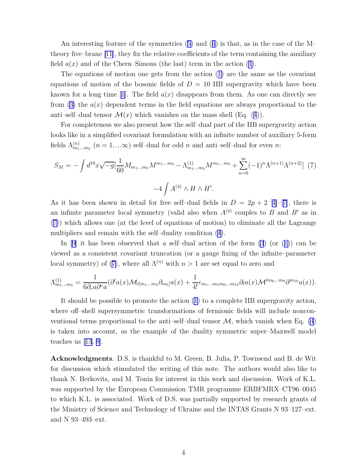An interesting feature of the symmetries([5\)](#page-2-0) and([6](#page-2-0)) is that, as in the case of the M– theory five–brane [\[11\]](#page-4-0), they fix the relative coefficients of the term containing the auxiliary field $a(x)$  and of the Chern–Simons (the last) term in the action ([1\)](#page-1-0).

The equations of motion one gets from the action([1\)](#page-1-0) are the same as the covariant equations of motion of the bosonic fields of  $D = 10$  IIB supergravity which have been knownfor a long time [[1\]](#page-4-0). The field  $a(x)$  disappears from them. As one can directly see from([3\)](#page-2-0) the  $a(x)$  dependent terms in the field equations are always proportional to the anti–self–dualtensor  $\mathcal{M}(x)$  which vanishes on the mass shell (Eq. ([4](#page-2-0))).

For completeness we also present how the self–dual part of the IIB supergravity action looks like in a simplified covariant formulation with an infinite number of auxiliary 5-form fields  $\Lambda_{m_1...m_5}^{(n)}$   $(n = 1,...\infty)$  self-dual for odd n and anti-self-dual for even n:

$$
S_M = -\int d^{10}x \sqrt{-g} \left[ \frac{1}{60} M_{m_1...m_5} M^{m_1...m_5} - \Lambda_{m_1...m_5}^{(1)} M^{m_1...m_5} + \sum_{n=0}^{\infty} (-1)^n \Lambda^{(n+1)} \Lambda^{(n+2)} \right] (7)
$$

$$
-4 \int A^{(4)} \wedge H \wedge H'.
$$

Asit has been shown in detail for free self-dual fields in  $D = 2p + 2$  [[4\]](#page-4-0)–[[7\]](#page-4-0), there is an infinite parameter local symmetry (valid also when  $A^{(4)}$  couples to B and B' as in (7)) which allows one (at the level of equations of motion) to eliminate all the Lagrange multipliers and remain with the self–duality condition [\(4](#page-2-0)).

In $[9]$  $[9]$  it has been observed that a self-dual action of the form  $(3)$  (or  $(1)$  $(1)$ ) can be viewed as a consistent covariant truncation (or a gauge fixing of the infinite–parameter local symmetry) of (7), where all  $\Lambda^{(n)}$  with  $n > 1$  are set equal to zero and

$$
\Lambda_{m_1...m_5}^{(1)} = \frac{1}{6\partial_r a \partial^r a} (\partial^l a(x) \mathcal{M}_{l[m_1...m_4} \partial_{m_5]} a(x) + \frac{1}{4!} \epsilon_{m_1...m_5m_6...m_{10}} \partial_l a(x) \mathcal{M}^{lm_6...m_9} \partial^{m_{10}} a(x)).
$$

It should be possible to promote the action [\(1\)](#page-1-0) to a complete IIB supergravity action, where off–shell supersymmetric transformations of fermionic fields will include nonconventional terms proportional to the anti–self–dual tensor  $\mathcal{M}$ , which vanish when Eq. [\(4](#page-2-0)) is taken into account, as the example of the duality symmetric super–Maxwell model teaches us  $|13, 8|$ .

Acknowledgments. D.S. is thankful to M. Green, B. Julia, P. Townsend and B. de Wit for discussion which stimulated the writing of this note. The authors would also like to thank N. Berkovits, and M. Tonin for interest in this work and discussion. Work of K.L. was supported by the European Commission TMR programme ERBFMRX–CT96–0045 to which K.L. is associated. Work of D.S. was partially supported by research grants of the Ministry of Science and Technology of Ukraine and the INTAS Grants N 93–127–ext. and N 93–493–ext.